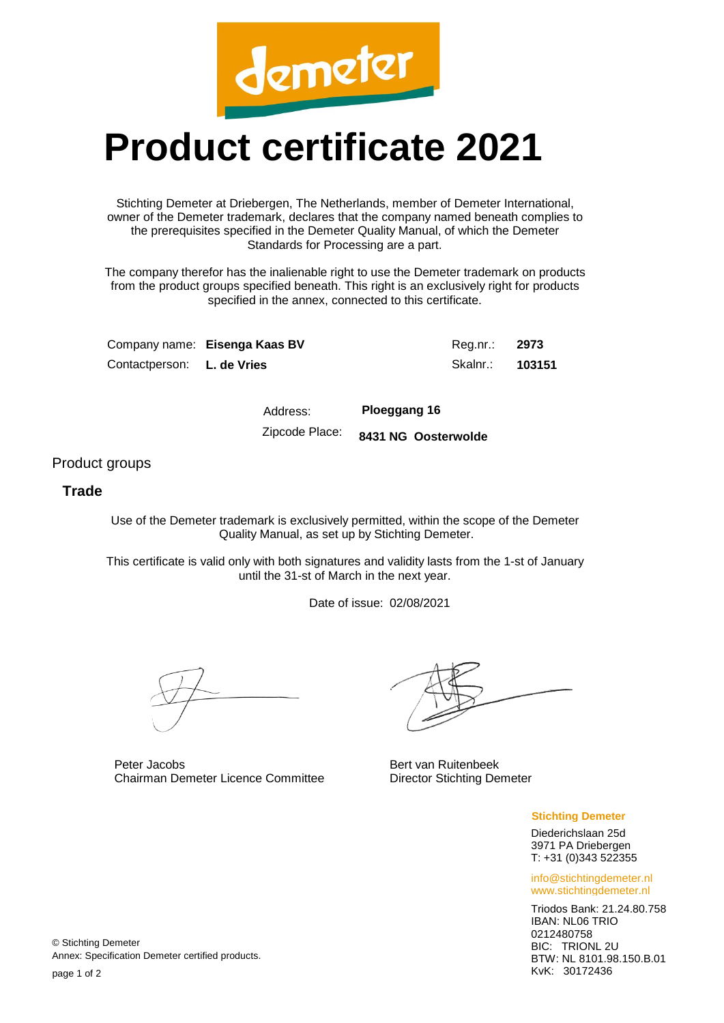

## **Product certificate 2021**

Stichting Demeter at Driebergen, The Netherlands, member of Demeter International, owner of the Demeter trademark, declares that the company named beneath complies to the prerequisites specified in the Demeter Quality Manual, of which the Demeter Standards for Processing are a part.

The company therefor has the inalienable right to use the Demeter trademark on products from the product groups specified beneath. This right is an exclusively right for products specified in the annex, connected to this certificate.

|                                   | Company name: Eisenga Kaas BV | Reg.nr.: 2973          |  |
|-----------------------------------|-------------------------------|------------------------|--|
| Contactperson: <b>L. de Vries</b> |                               | Skalnr.: <b>103151</b> |  |

Address: **Ploeggang 16** Zipcode Place: **8431 NG Oosterwolde**

Product groups

## **Trade**

Use of the Demeter trademark is exclusively permitted, within the scope of the Demeter Quality Manual, as set up by Stichting Demeter.

This certificate is valid only with both signatures and validity lasts from the 1-st of January until the 31-st of March in the next year.

Date of issue: 02/08/2021

Peter Jacobs Chairman Demeter Licence Committee

Bert van Ruitenbeek Director Stichting Demeter

**Stichting Demeter**

Diederichslaan 25d 3971 PA Driebergen T: +31 (0)343 522355

info@stichtingdemeter.nl www.stichtingdemeter.nl

Triodos Bank: 21.24.80.758 IBAN: NL06 TRIO 0212480758 BIC: TRIONL 2U BTW: NL 8101.98.150.B.01 KvK: 30172436

© Stichting Demeter Annex: Specification Demeter certified products.